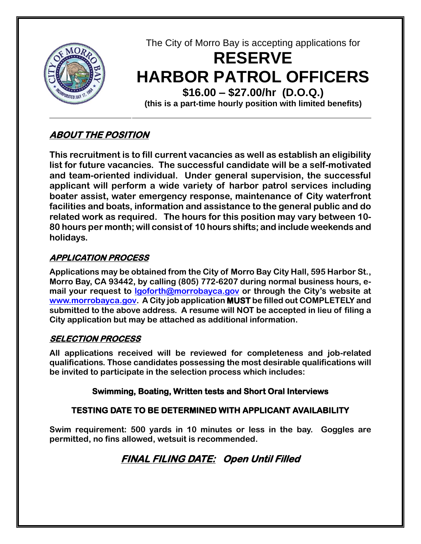

The City of Morro Bay is accepting applications for

# **RESERVE HARBOR PATROL OFFICERS \$16.00 – \$27.00/hr (D.O.Q.)**

**(this is a part-time hourly position with limited benefits)**

## **ABOUT THE POSITION**

**This recruitment is to fill current vacancies as well as establish an eligibility list for future vacancies. The successful candidate will be a self-motivated and team-oriented individual. Under general supervision, the successful applicant will perform a wide variety of harbor patrol services including boater assist, water emergency response, maintenance of City waterfront facilities and boats, information and assistance to the general public and do related work as required. The hours for this position may vary between 10- 80 hours per month; will consist of 10 hours shifts; and include weekends and holidays.**

#### **APPLICATION PROCESS**

**Applications may be obtained from the City of Morro Bay City Hall, 595 Harbor St., Morro Bay, CA 93442, by calling (805) 772-6207 during normal business hours, email your request to lgoforth@morrobayca.gov or through the City's website at www.morrobayca.gov. A City job application MUST be filled out COMPLETELY and submitted to the above address. A resume will NOT be accepted in lieu of filing a City application but may be attached as additional information.**

### **SELECTION PROCESS**

**All applications received will be reviewed for completeness and job-related qualifications. Those candidates possessing the most desirable qualifications will be invited to participate in the selection process which includes:**

#### **Swimming, Boating, Written tests and Short Oral Interviews**

#### **TESTING DATE TO BE DETERMINED WITH APPLICANT AVAILABILITY**

**Swim requirement: 500 yards in 10 minutes or less in the bay. Goggles are permitted, no fins allowed, wetsuit is recommended.** 

# **FINAL FILING DATE: Open Until Filled**